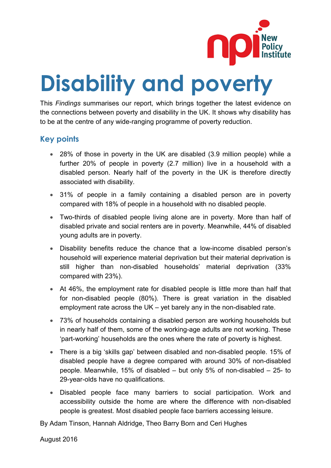

# **Disability and poverty**

This *Findings* summarises our report, which brings together the latest evidence on the connections between poverty and disability in the UK. It shows why disability has to be at the centre of any wide-ranging programme of poverty reduction.

## **Key points**

- 28% of those in poverty in the UK are disabled (3.9 million people) while a further 20% of people in poverty (2.7 million) live in a household with a disabled person. Nearly half of the poverty in the UK is therefore directly associated with disability.
- 31% of people in a family containing a disabled person are in poverty compared with 18% of people in a household with no disabled people.
- Two-thirds of disabled people living alone are in poverty. More than half of disabled private and social renters are in poverty. Meanwhile, 44% of disabled young adults are in poverty.
- Disability benefits reduce the chance that a low-income disabled person's household will experience material deprivation but their material deprivation is still higher than non-disabled households' material deprivation (33% compared with 23%).
- At 46%, the employment rate for disabled people is little more than half that for non-disabled people (80%). There is great variation in the disabled employment rate across the UK – yet barely any in the non-disabled rate.
- 73% of households containing a disabled person are working households but in nearly half of them, some of the working-age adults are not working. These 'part-working' households are the ones where the rate of poverty is highest.
- There is a big 'skills gap' between disabled and non-disabled people. 15% of disabled people have a degree compared with around 30% of non-disabled people. Meanwhile, 15% of disabled – but only 5% of non-disabled – 25- to 29-year-olds have no qualifications.
- Disabled people face many barriers to social participation. Work and accessibility outside the home are where the difference with non-disabled people is greatest. Most disabled people face barriers accessing leisure.

By Adam Tinson, Hannah Aldridge, Theo Barry Born and Ceri Hughes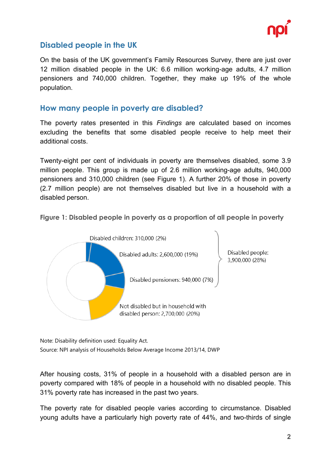

## **Disabled people in the UK**

On the basis of the UK government's Family Resources Survey, there are just over 12 million disabled people in the UK: 6.6 million working-age adults, 4.7 million pensioners and 740,000 children. Together, they make up 19% of the whole population.

### **How many people in poverty are disabled?**

The poverty rates presented in this *Findings* are calculated based on incomes excluding the benefits that some disabled people receive to help meet their additional costs.

Twenty-eight per cent of individuals in poverty are themselves disabled, some 3.9 million people. This group is made up of 2.6 million working-age adults, 940,000 pensioners and 310,000 children (see Figure 1). A further 20% of those in poverty (2.7 million people) are not themselves disabled but live in a household with a disabled person.

**Figure 1: Disabled people in poverty as a proportion of all people in poverty**



Note: Disability definition used: Equality Act. Source: NPI analysis of Households Below Average Income 2013/14, DWP

After housing costs, 31% of people in a household with a disabled person are in poverty compared with 18% of people in a household with no disabled people. This 31% poverty rate has increased in the past two years.

The poverty rate for disabled people varies according to circumstance. Disabled young adults have a particularly high poverty rate of 44%, and two-thirds of single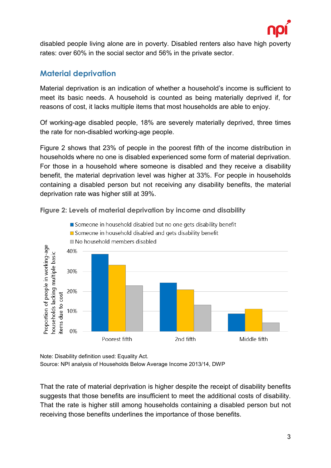

disabled people living alone are in poverty. Disabled renters also have high poverty rates: over 60% in the social sector and 56% in the private sector.

# **Material deprivation**

Material deprivation is an indication of whether a household's income is sufficient to meet its basic needs. A household is counted as being materially deprived if, for reasons of cost, it lacks multiple items that most households are able to enjoy.

Of working-age disabled people, 18% are severely materially deprived, three times the rate for non-disabled working-age people.

Figure 2 shows that 23% of people in the poorest fifth of the income distribution in households where no one is disabled experienced some form of material deprivation. For those in a household where someone is disabled and they receive a disability benefit, the material deprivation level was higher at 33%. For people in households containing a disabled person but not receiving any disability benefits, the material deprivation rate was higher still at 39%.



**Figure 2: Levels of material deprivation by income and disability**

Note: Disability definition used: Equality Act.

Source: NPI analysis of Households Below Average Income 2013/14, DWP

That the rate of material deprivation is higher despite the receipt of disability benefits suggests that those benefits are insufficient to meet the additional costs of disability. That the rate is higher still among households containing a disabled person but not receiving those benefits underlines the importance of those benefits.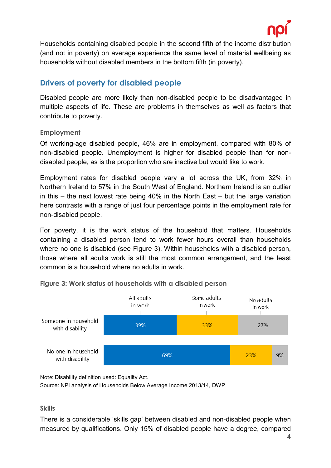

Households containing disabled people in the second fifth of the income distribution (and not in poverty) on average experience the same level of material wellbeing as households without disabled members in the bottom fifth (in poverty).

# **Drivers of poverty for disabled people**

Disabled people are more likely than non-disabled people to be disadvantaged in multiple aspects of life. These are problems in themselves as well as factors that contribute to poverty.

#### **Employment**

Of working-age disabled people, 46% are in employment, compared with 80% of non-disabled people. Unemployment is higher for disabled people than for nondisabled people, as is the proportion who are inactive but would like to work.

Employment rates for disabled people vary a lot across the UK, from 32% in Northern Ireland to 57% in the South West of England. Northern Ireland is an outlier in this – the next lowest rate being 40% in the North East – but the large variation here contrasts with a range of just four percentage points in the employment rate for non-disabled people.

For poverty, it is the work status of the household that matters. Households containing a disabled person tend to work fewer hours overall than households where no one is disabled (see Figure 3). Within households with a disabled person, those where all adults work is still the most common arrangement, and the least common is a household where no adults in work.



#### **Figure 3: Work status of households with a disabled person**

Note: Disability definition used: Equality Act.

Source: NPI analysis of Households Below Average Income 2013/14, DWP

#### **Skills**

There is a considerable 'skills gap' between disabled and non-disabled people when measured by qualifications. Only 15% of disabled people have a degree, compared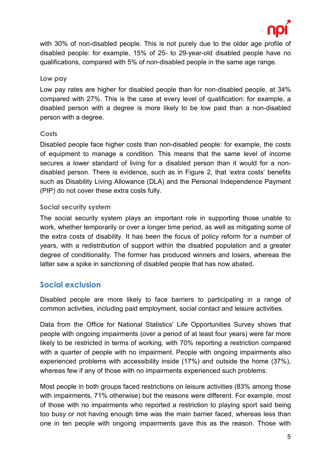

with 30% of non-disabled people. This is not purely due to the older age profile of disabled people: for example, 15% of 25- to 29-year-old disabled people have no qualifications, compared with 5% of non-disabled people in the same age range.

#### **Low pay**

Low pay rates are higher for disabled people than for non-disabled people, at 34% compared with 27%. This is the case at every level of qualification: for example, a disabled person with a degree is more likely to be low paid than a non-disabled person with a degree.

#### **Costs**

Disabled people face higher costs than non-disabled people: for example, the costs of equipment to manage a condition. This means that the same level of income secures a lower standard of living for a disabled person than it would for a nondisabled person. There is evidence, such as in Figure 2, that 'extra costs' benefits such as Disability Living Allowance (DLA) and the Personal Independence Payment (PIP) do not cover these extra costs fully.

#### **Social security system**

The social security system plays an important role in supporting those unable to work, whether temporarily or over a longer time period, as well as mitigating some of the extra costs of disability. It has been the focus of policy reform for a number of years, with a redistribution of support within the disabled population and a greater degree of conditionality. The former has produced winners and losers, whereas the latter saw a spike in sanctioning of disabled people that has now abated.

## **Social exclusion**

Disabled people are more likely to face barriers to participating in a range of common activities, including paid employment, social contact and leisure activities.

Data from the Office for National Statistics' Life Opportunities Survey shows that people with ongoing impairments (over a period of at least four years) were far more likely to be restricted in terms of working, with 70% reporting a restriction compared with a quarter of people with no impairment. People with ongoing impairments also experienced problems with accessibility inside (17%) and outside the home (37%), whereas few if any of those with no impairments experienced such problems.

Most people in both groups faced restrictions on leisure activities (83% among those with impairments, 71% otherwise) but the reasons were different. For example, most of those with no impairments who reported a restriction to playing sport said being too busy or not having enough time was the main barrier faced, whereas less than one in ten people with ongoing impairments gave this as the reason. Those with